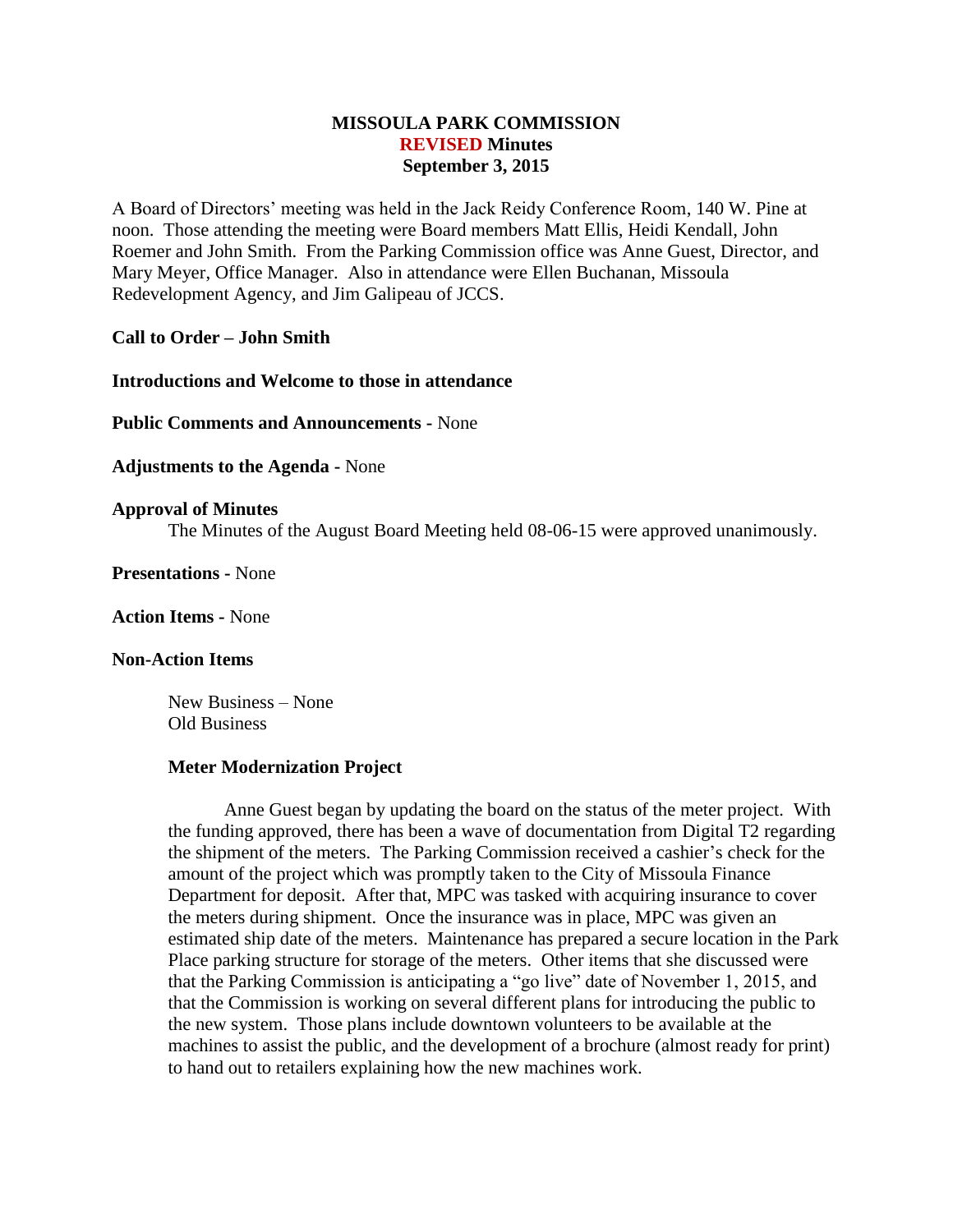# **MISSOULA PARK COMMISSION REVISED Minutes September 3, 2015**

A Board of Directors' meeting was held in the Jack Reidy Conference Room, 140 W. Pine at noon. Those attending the meeting were Board members Matt Ellis, Heidi Kendall, John Roemer and John Smith. From the Parking Commission office was Anne Guest, Director, and Mary Meyer, Office Manager. Also in attendance were Ellen Buchanan, Missoula Redevelopment Agency, and Jim Galipeau of JCCS.

### **Call to Order – John Smith**

**Introductions and Welcome to those in attendance**

**Public Comments and Announcements -** None

**Adjustments to the Agenda -** None

### **Approval of Minutes**

The Minutes of the August Board Meeting held 08-06-15 were approved unanimously.

**Presentations -** None

**Action Items -** None

### **Non-Action Items**

New Business – None Old Business

#### **Meter Modernization Project**

Anne Guest began by updating the board on the status of the meter project. With the funding approved, there has been a wave of documentation from Digital T2 regarding the shipment of the meters. The Parking Commission received a cashier's check for the amount of the project which was promptly taken to the City of Missoula Finance Department for deposit. After that, MPC was tasked with acquiring insurance to cover the meters during shipment. Once the insurance was in place, MPC was given an estimated ship date of the meters. Maintenance has prepared a secure location in the Park Place parking structure for storage of the meters. Other items that she discussed were that the Parking Commission is anticipating a "go live" date of November 1, 2015, and that the Commission is working on several different plans for introducing the public to the new system. Those plans include downtown volunteers to be available at the machines to assist the public, and the development of a brochure (almost ready for print) to hand out to retailers explaining how the new machines work.